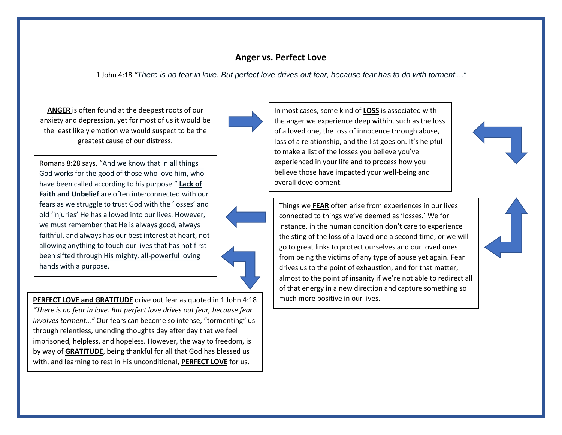## **Anger vs. Perfect Love**

1 John 4:18 *"There is no fear in love. But perfect love drives out fear, because fear has to do with torment…"*

**ANGER** is often found at the deepest roots of our anxiety and depression, yet for most of us it would be the least likely emotion we would suspect to be the greatest cause of our distress.

Romans 8:28 says, "And we know that in all things God works for the good of those who love him, who have been called according to his purpose." **Lack of Faith and Unbelief** are often interconnected with our fears as we struggle to trust God with the 'losses' and old 'injuries' He has allowed into our lives. However, we must remember that He is always good, always faithful, and always has our best interest at heart, not allowing anything to touch our lives that has not first been sifted through His mighty, all-powerful loving hands with a purpose.

**PERFECT LOVE and GRATITUDE** drive out fear as quoted in 1 John 4:18 *"There is no fear in love. But perfect love drives out fear, because fear involves torment…"* Our fears can become so intense, "tormenting" us through relentless, unending thoughts day after day that we feel imprisoned, helpless, and hopeless. However, the way to freedom, is by way of **GRATITUDE**, being thankful for all that God has blessed us with, and learning to rest in His unconditional, **PERFECT LOVE** for us.





In most cases, some kind of **LOSS** is associated with the anger we experience deep within, such as the loss of a loved one, the loss of innocence through abuse, loss of a relationship, and the list goes on. It's helpful to make a list of the losses you believe you've experienced in your life and to process how you believe those have impacted your well-being and overall development.

Things we **FEAR** often arise from experiences in our lives connected to things we've deemed as 'losses.' We for instance, in the human condition don't care to experience the sting of the loss of a loved one a second time, or we will go to great links to protect ourselves and our loved ones from being the victims of any type of abuse yet again. Fear drives us to the point of exhaustion, and for that matter, almost to the point of insanity if we're not able to redirect all of that energy in a new direction and capture something so much more positive in our lives.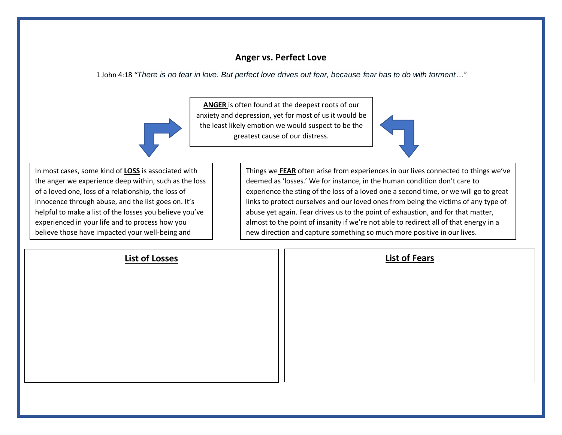## **Anger vs. Perfect Love**

1 John 4:18 *"There is no fear in love. But perfect love drives out fear, because fear has to do with torment…"*

**ANGER** is often found at the deepest roots of our anxiety and depression, yet for most of us it would be the least likely emotion we would suspect to be the greatest cause of our distress.

In most cases, some kind of **LOSS** is associated with the anger we experience deep within, such as the loss of a loved one, loss of a relationship, the loss of innocence through abuse, and the list goes on. It's helpful to make a list of the losses you believe you've experienced in your life and to process how you believe those have impacted your well-being and

overall development.

Things we **FEAR** often arise from experiences in our lives connected to things we've deemed as 'losses.' We for instance, in the human condition don't care to experience the sting of the loss of a loved one a second time, or we will go to great links to protect ourselves and our loved ones from being the victims of any type of abuse yet again. Fear drives us to the point of exhaustion, and for that matter, almost to the point of insanity if we're not able to redirect all of that energy in a new direction and capture something so much more positive in our lives.

| <b>List of Losses</b> | <b>List of Fears</b> |
|-----------------------|----------------------|
|                       |                      |
|                       |                      |
|                       |                      |
|                       |                      |
|                       |                      |
|                       |                      |